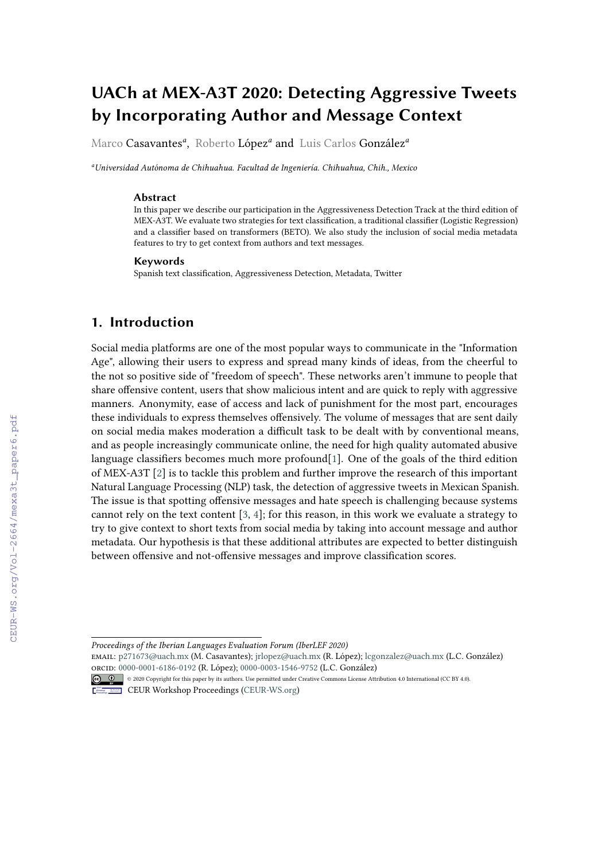# **UACh at MEX-A3T 2020: Detecting Aggressive Tweets by Incorporating Author and Message Context**

Marco Casavantes*<sup>a</sup>* , Roberto López*<sup>a</sup>* and Luis Carlos González*<sup>a</sup>*

*<sup>a</sup>Universidad Autónoma de Chihuahua. Facultad de Ingeniería. Chihuahua, Chih., Mexico*

#### **Abstract**

In this paper we describe our participation in the Aggressiveness Detection Track at the third edition of MEX-A3T. We evaluate two strategies for text classification, a traditional classifier (Logistic Regression) and a classifier based on transformers (BETO). We also study the inclusion of social media metadata features to try to get context from authors and text messages.

#### **Keywords**

Spanish text classification, Aggressiveness Detection, Metadata, Twitter

# **1. Introduction**

Social media platforms are one of the most popular ways to communicate in the "Information Age", allowing their users to express and spread many kinds of ideas, from the cheerful to the not so positive side of "freedom of speech". These networks aren't immune to people that share offensive content, users that show malicious intent and are quick to reply with aggressive manners. Anonymity, ease of access and lack of punishment for the most part, encourages these individuals to express themselves offensively. The volume of messages that are sent daily on social media makes moderation a difficult task to be dealt with by conventional means, and as people increasingly communicate online, the need for high quality automated abusive language classifiers becomes much more profound[\[1\]](#page--1-0). One of the goals of the third edition of MEX-A3T [\[2\]](#page--1-1) is to tackle this problem and further improve the research of this important Natural Language Processing (NLP) task, the detection of aggressive tweets in Mexican Spanish. The issue is that spotting offensive messages and hate speech is challenging because systems cannot rely on the text content [\[3,](#page--1-2) [4\]](#page--1-3); for this reason, in this work we evaluate a strategy to try to give context to short texts from social media by taking into account message and author metadata. Our hypothesis is that these additional attributes are expected to better distinguish between offensive and not-offensive messages and improve classification scores.

*Proceedings of the Iberian Languages Evaluation Forum (IberLEF 2020)*

email: [p271673@uach.mx](mailto:p271673@uach.mx) (M. Casavantes); [jrlopez@uach.mx](mailto:jrlopez@uach.mx) (R. López); [lcgonzalez@uach.mx](mailto:lcgonzalez@uach.mx) (L.C. González) [orcid:](https://creativecommons.org/licenses/by/4.0) [0000-0001-6186-0192](https://orcid.org/0000-0001-6186-0192) (R. López); [0000-0003-1546-9752](https://orcid.org/0000-0003-1546-9752) (L.C. González)



**CEUR Workshop [Proceedings](http://ceur-ws.org) [\(CEUR-WS.org\)](http://ceur-ws.org)**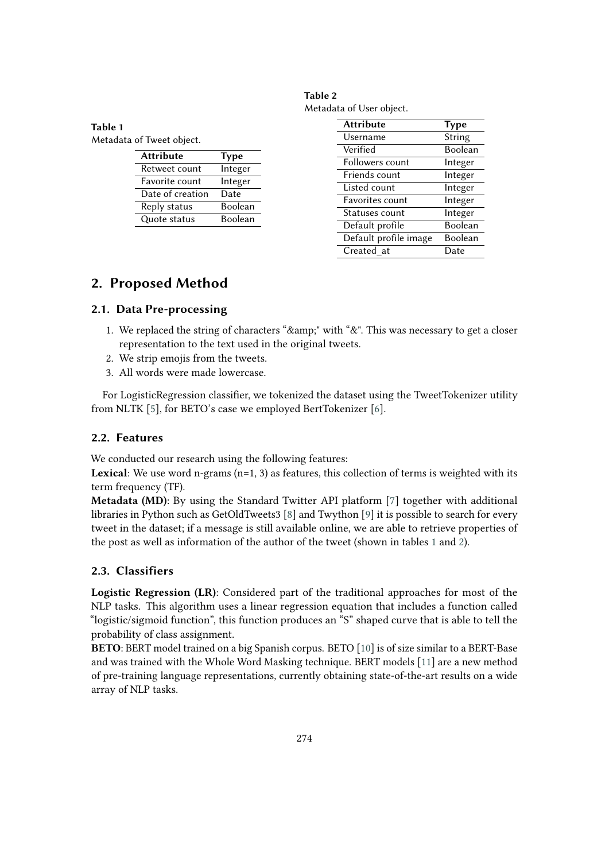<span id="page-1-1"></span>

| Table 2                  |  |
|--------------------------|--|
| Metadata of User object. |  |

| <b>Attribute</b>      | <b>Type</b> |
|-----------------------|-------------|
| Username              | Strin       |
| Verified              | Bool        |
| Followers count       | Integ       |
| Friends count         | Integ       |
| Listed count          | Integ       |
| Favorites count       | Integ       |
| Statuses count        | Integ       |
| Default profile       | Bool        |
| Default profile image | Bool        |
| Created at            | Date        |

**Type** String **Boolean** Integer Integer Integer Integer Integer **Boolean** Boolean

# **2. Proposed Method**

# **2.1. Data Pre-processing**

- 1. We replaced the string of characters " $\&$ amp;" with " $&$ ". This was necessary to get a closer representation to the text used in the original tweets.
- 2. We strip emojis from the tweets.

**Attribute Type** Retweet count Integer Favorite count lnteger Date of creation Date Reply status Boolean Quote status Boolean

3. All words were made lowercase.

For LogisticRegression classifier, we tokenized the dataset using the TweetTokenizer utility from NLTK [\[5\]](#page-5-0), for BETO's case we employed BertTokenizer [\[6\]](#page-5-1).

# **2.2. Features**

We conducted our research using the following features:

**Lexical:** We use word n-grams  $(n=1, 3)$  as features, this collection of terms is weighted with its term frequency (TF).

**Metadata (MD)**: By using the Standard Twitter API platform [\[7\]](#page-5-2) together with additional libraries in Python such as GetOldTweets3 [\[8\]](#page-5-3) and Twython [\[9\]](#page-5-4) it is possible to search for every tweet in the dataset; if a message is still available online, we are able to retrieve properties of the post as well as information of the author of the tweet (shown in tables [1](#page-1-0) and [2\)](#page-1-1).

# **2.3. Classifiers**

**Logistic Regression (LR)**: Considered part of the traditional approaches for most of the NLP tasks. This algorithm uses a linear regression equation that includes a function called "logistic/sigmoid function", this function produces an "S" shaped curve that is able to tell the probability of class assignment.

**BETO**: BERT model trained on a big Spanish corpus. BETO [\[10\]](#page-5-5) is of size similar to a BERT-Base and was trained with the Whole Word Masking technique. BERT models [\[11\]](#page-5-6) are a new method of pre-training language representations, currently obtaining state-of-the-art results on a wide array of NLP tasks.

### **Table 1**

<span id="page-1-0"></span>Metadata of Tweet object.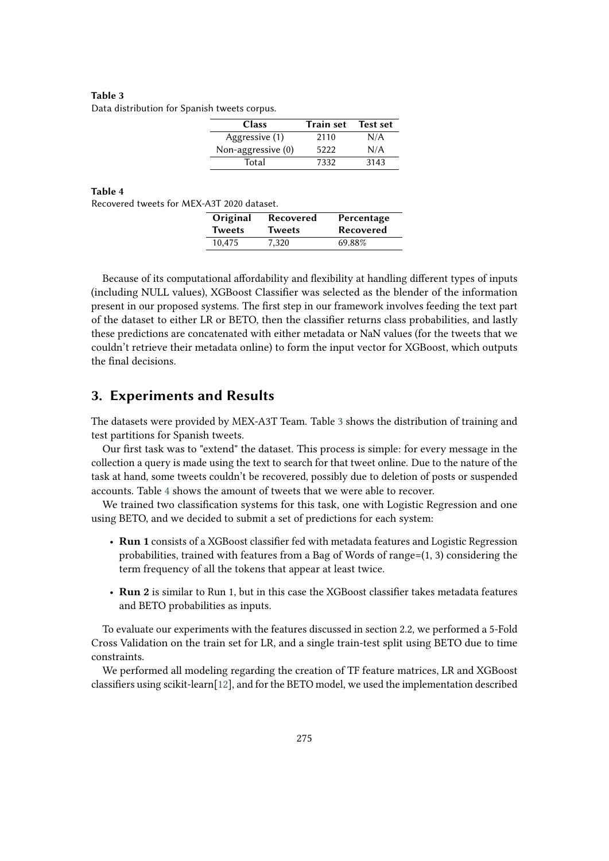<span id="page-2-0"></span>**Table 3** Data distribution for Spanish tweets corpus.

| <b>Class</b>         | <b>Train set</b> | <b>Test set</b> |
|----------------------|------------------|-----------------|
| Aggressive (1)       | 2110             | N/A             |
| Non-aggressive $(0)$ | 5222             | N/A             |
| Total                | 7332             | 3143            |

#### **Table 4**

<span id="page-2-1"></span>Recovered tweets for MEX-A3T 2020 dataset.

| Original | Recovered     | Percentage |
|----------|---------------|------------|
| Tweets   | <b>Tweets</b> | Recovered  |
| 10.475   | 7.320         | 69.88%     |

Because of its computational affordability and flexibility at handling different types of inputs (including NULL values), XGBoost Classifier was selected as the blender of the information present in our proposed systems. The first step in our framework involves feeding the text part of the dataset to either LR or BETO, then the classifier returns class probabilities, and lastly these predictions are concatenated with either metadata or NaN values (for the tweets that we couldn't retrieve their metadata online) to form the input vector for XGBoost, which outputs the final decisions.

# **3. Experiments and Results**

The datasets were provided by MEX-A3T Team. Table [3](#page-2-0) shows the distribution of training and test partitions for Spanish tweets.

Our first task was to "extend" the dataset. This process is simple: for every message in the collection a query is made using the text to search for that tweet online. Due to the nature of the task at hand, some tweets couldn't be recovered, possibly due to deletion of posts or suspended accounts. Table [4](#page-2-1) shows the amount of tweets that we were able to recover.

We trained two classification systems for this task, one with Logistic Regression and one using BETO, and we decided to submit a set of predictions for each system:

- **Run 1** consists of a XGBoost classifier fed with metadata features and Logistic Regression probabilities, trained with features from a Bag of Words of range= $(1, 3)$  considering the term frequency of all the tokens that appear at least twice.
- **Run 2** is similar to Run 1, but in this case the XGBoost classifier takes metadata features and BETO probabilities as inputs.

To evaluate our experiments with the features discussed in section 2.2, we performed a 5-Fold Cross Validation on the train set for LR, and a single train-test split using BETO due to time constraints.

We performed all modeling regarding the creation of TF feature matrices, LR and XGBoost classifiers using scikit-learn[\[12\]](#page-6-0), and for the BETO model, we used the implementation described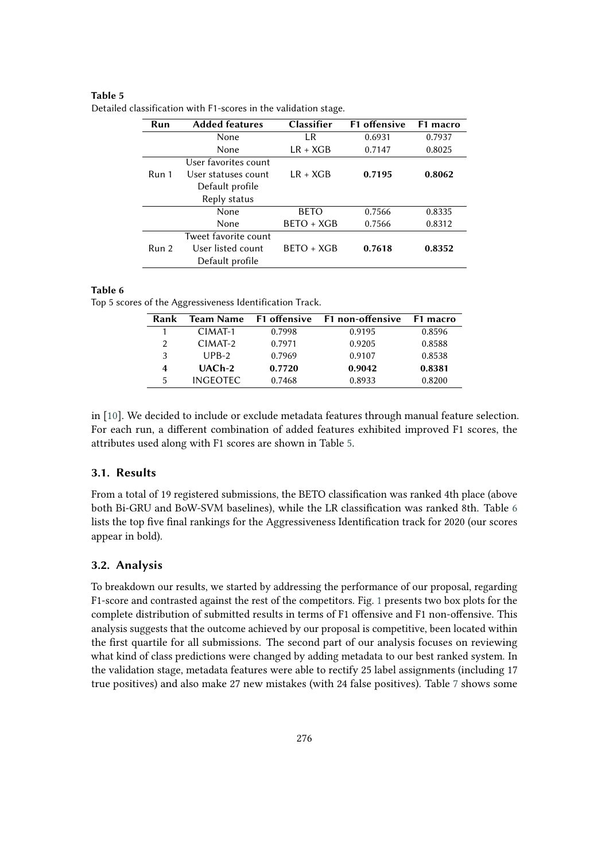#### **Table 5**

| Run   | <b>Added features</b> | <b>Classifier</b> | <b>F1</b> offensive | F <sub>1</sub> macro |
|-------|-----------------------|-------------------|---------------------|----------------------|
|       | None                  | LR.               | 0.6931              | 0.7937               |
|       | None                  | $LR + XGB$        | 0.7147              | 0.8025               |
|       | User favorites count  |                   |                     |                      |
| Run 1 | User statuses count   | $LR + XGB$        | 0.7195              | 0.8062               |
|       | Default profile       |                   |                     |                      |
|       | Reply status          |                   |                     |                      |
|       | None                  | <b>BETO</b>       | 0.7566              | 0.8335               |
|       | None                  | $BETO + XGB$      | 0.7566              | 0.8312               |
|       | Tweet favorite count  |                   |                     |                      |
| Run 2 | User listed count     | $BFTO + XGB$      | 0.7618              | 0.8352               |
|       | Default profile       |                   |                     |                      |

<span id="page-3-0"></span>Detailed classification with F1-scores in the validation stage.

#### **Table 6**

<span id="page-3-1"></span>Top 5 scores of the Aggressiveness Identification Track.

| Rank | <b>Team Name</b>    | F1 offensive | F1 non-offensive | F1 macro |
|------|---------------------|--------------|------------------|----------|
|      | $CIMAT-1$           | 0.7998       | 0.9195           | 0.8596   |
| 2    | CIMAT-2             | 0.7971       | 0.9205           | 0.8588   |
| 3    | $UPB-2$             | 0.7969       | 0.9107           | 0.8538   |
| 4    | UAC <sub>h</sub> -2 | 0.7720       | 0.9042           | 0.8381   |
| 5    | <b>INGFOTEC</b>     | 0.7468       | 0.8933           | 0.8200   |

in [\[10\]](#page-5-5). We decided to include or exclude metadata features through manual feature selection. For each run, a different combination of added features exhibited improved F1 scores, the attributes used along with F1 scores are shown in Table [5.](#page-3-0)

#### **3.1. Results**

From a total of 19 registered submissions, the BETO classification was ranked 4th place (above both Bi-GRU and BoW-SVM baselines), while the LR classification was ranked 8th. Table [6](#page-3-1) lists the top five final rankings for the Aggressiveness Identification track for 2020 (our scores appear in bold).

### **3.2. Analysis**

To breakdown our results, we started by addressing the performance of our proposal, regarding F1-score and contrasted against the rest of the competitors. Fig. [1](#page-4-0) presents two box plots for the complete distribution of submitted results in terms of F1 offensive and F1 non-offensive. This analysis suggests that the outcome achieved by our proposal is competitive, been located within the first quartile for all submissions. The second part of our analysis focuses on reviewing what kind of class predictions were changed by adding metadata to our best ranked system. In the validation stage, metadata features were able to rectify 25 label assignments (including 17 true positives) and also make 27 new mistakes (with 24 false positives). Table [7](#page-5-7) shows some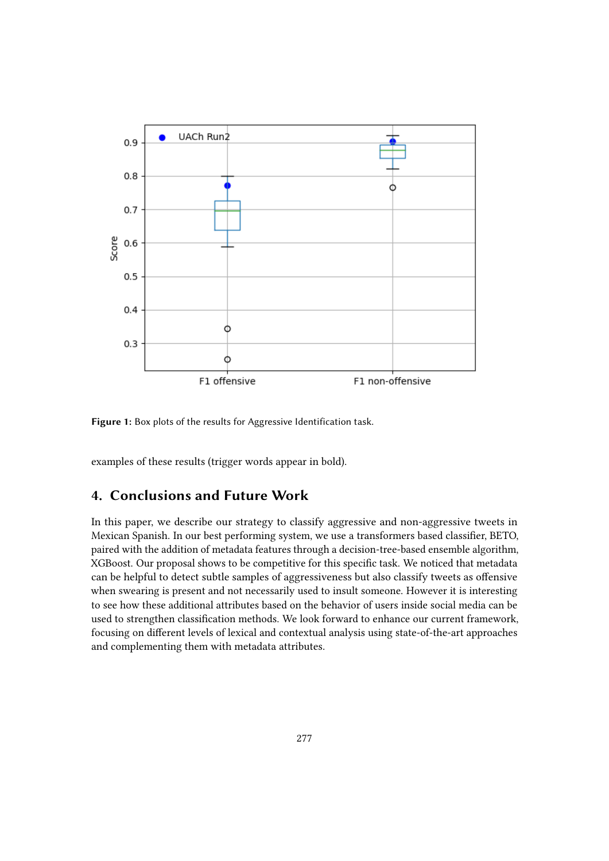

<span id="page-4-0"></span>**Figure 1:** Box plots of the results for Aggressive Identification task.

examples of these results (trigger words appear in bold).

# **4. Conclusions and Future Work**

In this paper, we describe our strategy to classify aggressive and non-aggressive tweets in Mexican Spanish. In our best performing system, we use a transformers based classifier, BETO, paired with the addition of metadata features through a decision-tree-based ensemble algorithm, XGBoost. Our proposal shows to be competitive for this specific task. We noticed that metadata can be helpful to detect subtle samples of aggressiveness but also classify tweets as offensive when swearing is present and not necessarily used to insult someone. However it is interesting to see how these additional attributes based on the behavior of users inside social media can be used to strengthen classification methods. We look forward to enhance our current framework, focusing on different levels of lexical and contextual analysis using state-of-the-art approaches and complementing them with metadata attributes.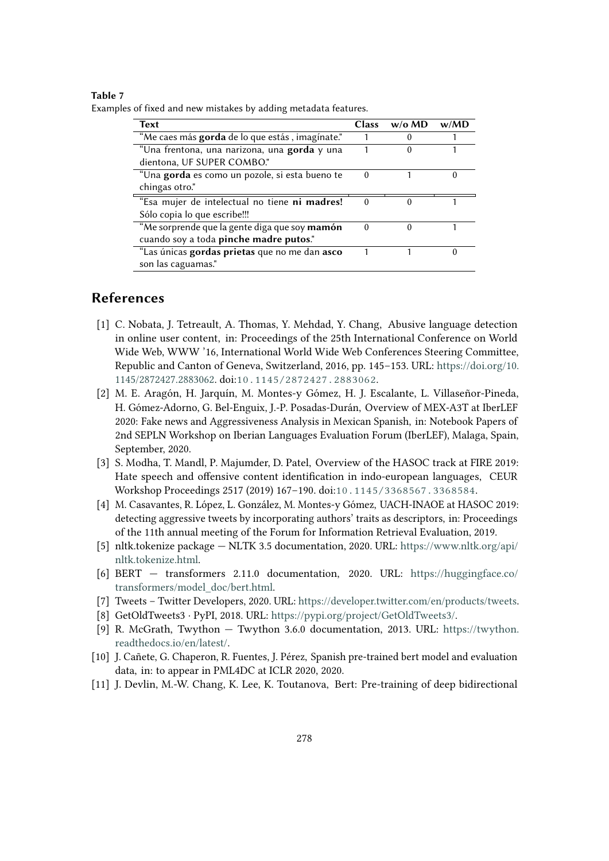#### **Table 7**

<span id="page-5-7"></span>Examples of fixed and new mistakes by adding metadata features.

| <b>Text</b>                                     | <b>Class</b> | w/o M D  | w/MD |
|-------------------------------------------------|--------------|----------|------|
| "Me caes más gorda de lo que estás, imagínate." |              | 0        |      |
| "Una frentona, una narizona, una gorda y una    |              | 0        |      |
| dientona, UF SUPER COMBO."                      |              |          |      |
| "Una gorda es como un pozole, si esta bueno te  | 0            |          | 0    |
| chingas otro."                                  |              |          |      |
| "Esa mujer de intelectual no tiene ni madres!   | 0            | $\theta$ |      |
| Sólo copia lo que escribe!!!                    |              |          |      |
| "Me sorprende que la gente diga que soy mamón   | 0            | $\Omega$ |      |
| cuando soy a toda pinche madre putos."          |              |          |      |
| "Las únicas gordas prietas que no me dan asco   |              |          | 0    |
| son las caguamas."                              |              |          |      |

# **References**

- [1] C. Nobata, J. Tetreault, A. Thomas, Y. Mehdad, Y. Chang, Abusive language detection in online user content, in: Proceedings of the 25th International Conference on World Wide Web, WWW '16, International World Wide Web Conferences Steering Committee, Republic and Canton of Geneva, Switzerland, 2016, pp. 145–153. URL: [https://doi.org/10.](https://doi.org/10.1145/2872427.2883062) [1145/2872427.2883062.](https://doi.org/10.1145/2872427.2883062) doi:[10.1145/2872427.2883062](http://dx.doi.org/10.1145/2872427.2883062).
- [2] M. E. Aragón, H. Jarquín, M. Montes-y Gómez, H. J. Escalante, L. Villaseñor-Pineda, H. Gómez-Adorno, G. Bel-Enguix, J.-P. Posadas-Durán, Overview of MEX-A3T at IberLEF 2020: Fake news and Aggressiveness Analysis in Mexican Spanish, in: Notebook Papers of 2nd SEPLN Workshop on Iberian Languages Evaluation Forum (IberLEF), Malaga, Spain, September, 2020.
- [3] S. Modha, T. Mandl, P. Majumder, D. Patel, Overview of the HASOC track at FIRE 2019: Hate speech and offensive content identification in indo-european languages, CEUR Workshop Proceedings 2517 (2019) 167–190. doi:[10.1145/3368567.3368584](http://dx.doi.org/10.1145/3368567.3368584).
- [4] M. Casavantes, R. López, L. González, M. Montes-y Gómez, UACH-INAOE at HASOC 2019: detecting aggressive tweets by incorporating authors' traits as descriptors, in: Proceedings of the 11th annual meeting of the Forum for Information Retrieval Evaluation, 2019.
- <span id="page-5-0"></span>[5] nltk.tokenize package — NLTK 3.5 documentation, 2020. URL: [https://www.nltk.org/api/](https://www.nltk.org/api/nltk.tokenize.html) [nltk.tokenize.html.](https://www.nltk.org/api/nltk.tokenize.html)
- <span id="page-5-1"></span>[6] BERT — transformers 2.11.0 documentation, 2020. URL: [https://huggingface.co/](https://huggingface.co/transformers/model_doc/bert.html) [transformers/model\\_doc/bert.html.](https://huggingface.co/transformers/model_doc/bert.html)
- <span id="page-5-2"></span>[7] Tweets – Twitter Developers, 2020. URL: [https://developer.twitter.com/en/products/tweets.](https://developer.twitter.com/en/products/tweets)
- <span id="page-5-3"></span>[8] GetOldTweets3 · PyPI, 2018. URL: [https://pypi.org/project/GetOldTweets3/.](https://pypi.org/project/GetOldTweets3/)
- <span id="page-5-4"></span>[9] R. McGrath, Twython — Twython 3.6.0 documentation, 2013. URL: [https://twython.](https://twython.readthedocs.io/en/latest/) [readthedocs.io/en/latest/.](https://twython.readthedocs.io/en/latest/)
- <span id="page-5-5"></span>[10] J. Cañete, G. Chaperon, R. Fuentes, J. Pérez, Spanish pre-trained bert model and evaluation data, in: to appear in PML4DC at ICLR 2020, 2020.
- <span id="page-5-6"></span>[11] J. Devlin, M.-W. Chang, K. Lee, K. Toutanova, Bert: Pre-training of deep bidirectional